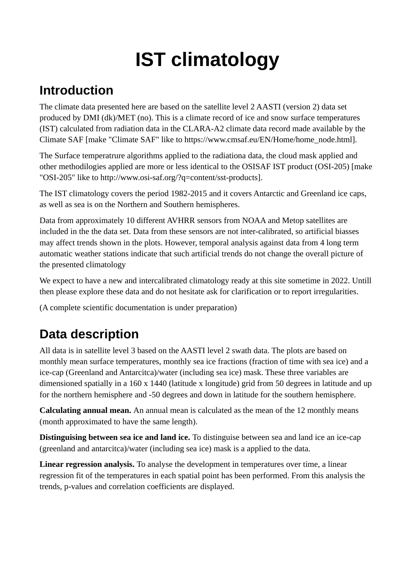# **IST climatology**

## **Introduction**

The climate data presented here are based on the satellite level 2 AASTI (version 2) data set produced by DMI (dk)/MET (no). This is a climate record of ice and snow surface temperatures (IST) calculated from radiation data in the CLARA-A2 climate data record made available by the Climate SAF [make "Climate SAF" like to https://www.cmsaf.eu/EN/Home/home\_node.html].

The Surface temperatrure algorithms applied to the radiationa data, the cloud mask applied and other methodilogies applied are more or less identical to the OSISAF IST product (OSI-205) [make "OSI-205" like to http://www.osi-saf.org/?q=content/sst-products].

The IST climatology covers the period 1982-2015 and it covers Antarctic and Greenland ice caps, as well as sea is on the Northern and Southern hemispheres.

Data from approximately 10 different AVHRR sensors from NOAA and Metop satellites are included in the the data set. Data from these sensors are not inter-calibrated, so artificial biasses may affect trends shown in the plots. However, temporal analysis against data from 4 long term automatic weather stations indicate that such artificial trends do not change the overall picture of the presented climatology

We expect to have a new and intercalibrated climatology ready at this site sometime in 2022. Untill then please explore these data and do not hesitate ask for clarification or to report irregularities.

(A complete scientific documentation is under preparation)

# **Data description**

All data is in satellite level 3 based on the AASTI level 2 swath data. The plots are based on monthly mean surface temperatures, monthly sea ice fractions (fraction of time with sea ice) and a ice-cap (Greenland and Antarcitca)/water (including sea ice) mask. These three variables are dimensioned spatially in a 160 x 1440 (latitude x longitude) grid from 50 degrees in latitude and up for the northern hemisphere and -50 degrees and down in latitude for the southern hemisphere.

**Calculating annual mean.** An annual mean is calculated as the mean of the 12 monthly means (month approximated to have the same length).

**Distinguising between sea ice and land ice.** To distinguise between sea and land ice an ice-cap (greenland and antarcitca)/water (including sea ice) mask is a applied to the data.

**Linear regression analysis.** To analyse the development in temperatures over time, a linear regression fit of the temperatures in each spatial point has been performed. From this analysis the trends, p-values and correlation coefficients are displayed.